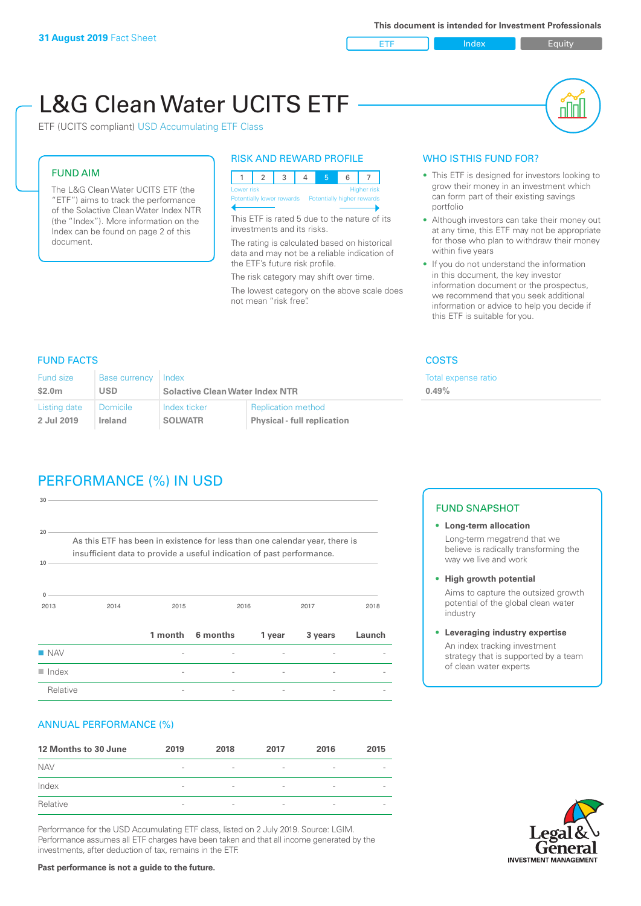ETF Index Builty

nN

# L&G Clean Water UCITS ETF

ETF (UCITS compliant) USD Accumulating ETF Class

# FUND AIM

The L&G Clean Water UCITS ETF (the "ETF") aims to track the performance of the Solactive Clean Water Index NTR (the "Index"). More information on the Index can be found on page 2 of this document.

# RISK AND REWARD PROFILE

|                                                      | Lower risk<br><b>Higher risk</b> |  |  |  |  |  |  |  |
|------------------------------------------------------|----------------------------------|--|--|--|--|--|--|--|
| Potentially lower rewards Potentially higher rewards |                                  |  |  |  |  |  |  |  |
|                                                      |                                  |  |  |  |  |  |  |  |

This ETF is rated 5 due to the nature of its investments and its risks.

The rating is calculated based on historical data and may not be a reliable indication of the ETF's future risk profile.

The risk category may shift over time. The lowest category on the above scale does not mean "risk free".

# WHO IS THIS FUND FOR?

- This ETF is designed for investors looking to grow their money in an investment which can form part of their existing savings portfolio
- Although investors can take their money out at any time, this ETF may not be appropriate for those who plan to withdraw their money within five years
- If you do not understand the information in this document, the key investor information document or the prospectus, we recommend that you seek additional information or advice to help you decide if this ETF is suitable for you.

expense ratio

# FUND FACTS COSTS

| <b>Fund size</b> | <b>Base currency</b> | Index                                  |                                    | Total e |
|------------------|----------------------|----------------------------------------|------------------------------------|---------|
| \$2.0m           | <b>USD</b>           | <b>Solactive Clean Water Index NTR</b> | 0.49%                              |         |
| Listing date     | <b>Domicile</b>      | Index ticker                           | <b>Replication method</b>          |         |
| 2 Jul 2019       | Ireland              | <b>SOLWATR</b>                         | <b>Physical - full replication</b> |         |

# PERFORMANCE (%) IN USD

| $\blacksquare$ Index                                                                                                                                 |         |          |        |         |        |  |  |  |
|------------------------------------------------------------------------------------------------------------------------------------------------------|---------|----------|--------|---------|--------|--|--|--|
|                                                                                                                                                      |         |          |        |         |        |  |  |  |
|                                                                                                                                                      |         |          |        |         |        |  |  |  |
|                                                                                                                                                      | 1 month | 6 months | 1 year | 3 years | Launch |  |  |  |
| 2014                                                                                                                                                 | 2015    |          |        | 2017    | 2018   |  |  |  |
| As this ETF has been in existence for less than one calendar year, there is<br>insufficient data to provide a useful indication of past performance. |         |          |        |         |        |  |  |  |
|                                                                                                                                                      |         |          |        |         |        |  |  |  |
|                                                                                                                                                      |         |          |        | 2016    |        |  |  |  |

# ANNUAL PERFORMANCE (%)

| 12 Months to 30 June | 2019                     | 2018                     | 2017                     | 2016            | 2015                     |
|----------------------|--------------------------|--------------------------|--------------------------|-----------------|--------------------------|
| <b>NAV</b>           | $\overline{\phantom{a}}$ | $\overline{\phantom{a}}$ | $\overline{\phantom{a}}$ | $\qquad \qquad$ |                          |
| Index                | $\overline{\phantom{a}}$ | $\overline{\phantom{a}}$ | $\qquad \qquad$          | $\qquad \qquad$ | $\overline{\phantom{a}}$ |
| Relative             | $\sim$                   | $\overline{\phantom{a}}$ | $\overline{\phantom{a}}$ | $\qquad \qquad$ | $\overline{\phantom{a}}$ |

Performance for the USD Accumulating ETF class, listed on 2 July 2019. Source: LGIM. Performance assumes all ETF charges have been taken and that all income generated by the investments, after deduction of tax, remains in the ETF.

### FUND SNAPSHOT

- **• Long-term allocation** Long-term megatrend that we believe is radically transforming the way we live and work
- **• High growth potential**

Aims to capture the outsized growth potential of the global clean water industry

**• Leveraging industry expertise**

An index tracking investment strategy that is supported by a team of clean water experts



#### **Past performance is not a guide to the future.**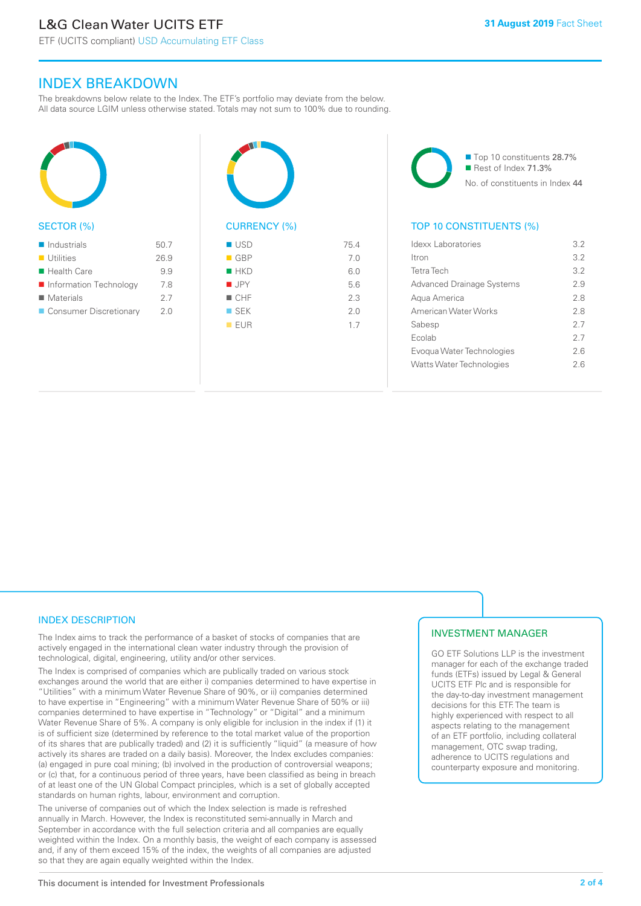ETF (UCITS compliant) USD Accumulating ETF Class

# INDEX BREAKDOWN

The breakdowns below relate to the Index. The ETF's portfolio may deviate from the below. All data source LGIM unless otherwise stated. Totals may not sum to 100% due to rounding.



#### SECTOR (%)

| $\blacksquare$ Industrials | 50.7 |
|----------------------------|------|
| ■ Utilities                | 26.9 |
| $\blacksquare$ Health Care | 99   |
| ■ Information Technology   | 7.8  |
| ■ Materials                | 27   |
| ■ Consumer Discretionary   | 2.0  |



| $\blacksquare$ GBP | 7.0 |
|--------------------|-----|
| HKD                | 6.0 |
| $\blacksquare$ JPY | 5.6 |
| CHF                | 2.3 |
| $\square$ SEK      | 2.0 |
| EUR                | 1.7 |
|                    |     |

■ Top 10 constituents 28.7% Rest of Index 71.3% No. of constituents in Index 44

# TOP 10 CONSTITUENTS (%)

| Idexx Laboratories               | 32  |
|----------------------------------|-----|
| ltron                            | 3.2 |
| Tetra Tech                       | 3.2 |
| <b>Advanced Drainage Systems</b> | 29  |
| Aqua America                     | 28  |
| American Water Works             | 28  |
| Sabesp                           | 27  |
| Ecolab                           | 27  |
| Evogua Water Technologies        | 26  |
| <b>Watts Water Technologies</b>  | 26  |
|                                  |     |

# INDEX DESCRIPTION

The Index aims to track the performance of a basket of stocks of companies that are actively engaged in the international clean water industry through the provision of technological, digital, engineering, utility and/or other services.

The Index is comprised of companies which are publically traded on various stock exchanges around the world that are either i) companies determined to have expertise in "Utilities" with a minimum Water Revenue Share of 90%, or ii) companies determined to have expertise in "Engineering" with a minimum Water Revenue Share of 50% or iii) companies determined to have expertise in "Technology" or "Digital" and a minimum Water Revenue Share of 5%. A company is only eligible for inclusion in the index if (1) it is of sufficient size (determined by reference to the total market value of the proportion of its shares that are publically traded) and (2) it is sufficiently "liquid" (a measure of how actively its shares are traded on a daily basis). Moreover, the Index excludes companies: (a) engaged in pure coal mining; (b) involved in the production of controversial weapons; or (c) that, for a continuous period of three years, have been classified as being in breach of at least one of the UN Global Compact principles, which is a set of globally accepted standards on human rights, labour, environment and corruption.

The universe of companies out of which the Index selection is made is refreshed annually in March. However, the Index is reconstituted semi-annually in March and September in accordance with the full selection criteria and all companies are equally weighted within the Index. On a monthly basis, the weight of each company is assessed and, if any of them exceed 15% of the index, the weights of all companies are adjusted so that they are again equally weighted within the Index.

# INVESTMENT MANAGER

GO ETF Solutions LLP is the investment manager for each of the exchange traded funds (ETFs) issued by Legal & General UCITS ETF Plc and is responsible for the day-to-day investment management decisions for this ETF. The team is highly experienced with respect to all aspects relating to the management of an ETF portfolio, including collateral management, OTC swap trading, adherence to UCITS regulations and counterparty exposure and monitoring.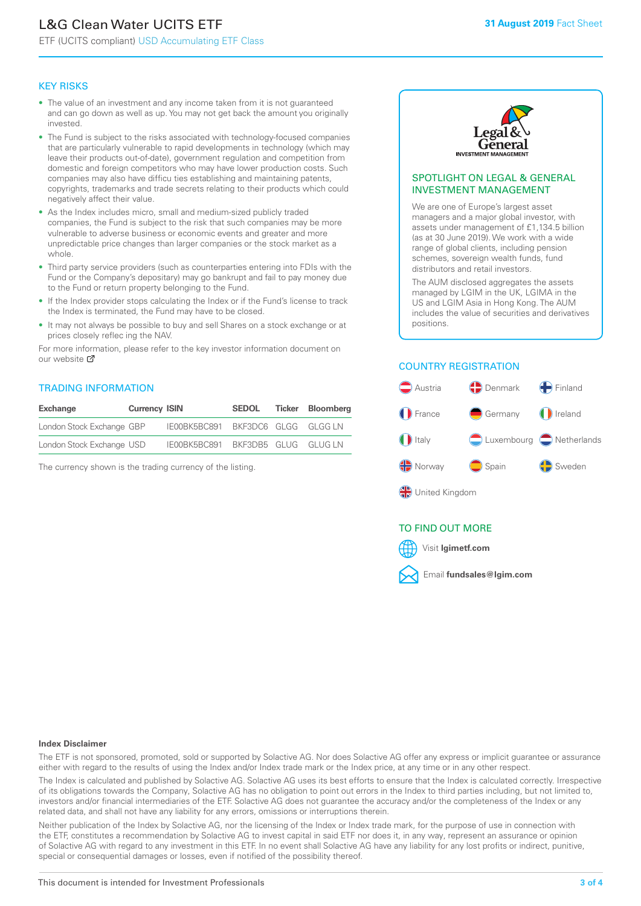# L&G Clean Water UCITS ETF

ETF (UCITS compliant) USD Accumulating ETF Class

#### KEY RISKS

- The value of an investment and any income taken from it is not guaranteed and can go down as well as up. You may not get back the amount you originally invested.
- The Fund is subject to the risks associated with technology-focused companies that are particularly vulnerable to rapid developments in technology (which may leave their products out-of-date), government regulation and competition from domestic and foreign competitors who may have lower production costs. Such companies may also have difficu ties establishing and maintaining patents, copyrights, trademarks and trade secrets relating to their products which could negatively affect their value.
- As the Index includes micro, small and medium-sized publicly traded companies, the Fund is subject to the risk that such companies may be more vulnerable to adverse business or economic events and greater and more unpredictable price changes than larger companies or the stock market as a whole.
- Third party service providers (such as counterparties entering into FDIs with the Fund or the Company's depositary) may go bankrupt and fail to pay money due to the Fund or return property belonging to the Fund.
- If the Index provider stops calculating the Index or if the Fund's license to track the Index is terminated, the Fund may have to be closed.
- It may not always be possible to buy and sell Shares on a stock exchange or at prices closely reflec ing the NAV.

For more information, please refer to the key investor information document on our website ぴ

#### TRADING INFORMATION

| <b>Exchange</b>           | <b>Currency ISIN</b> |                                   | <b>SEDOL</b> | <b>Ticker Bloomberg</b> |
|---------------------------|----------------------|-----------------------------------|--------------|-------------------------|
| London Stock Exchange GBP |                      | IE00BK5BC891 BKF3DC6 GLGG GLGG LN |              |                         |
| London Stock Exchange USD |                      | IE00BK5BC891 BKF3DB5 GLUG GLUG LN |              |                         |

The currency shown is the trading currency of the listing.



#### SPOTLIGHT ON LEGAL & GENERAL INVESTMENT MANAGEMENT

We are one of Europe's largest asset managers and a major global investor, with assets under management of £1,134.5 billion (as at 30 June 2019). We work with a wide range of global clients, including pension schemes, sovereign wealth funds, fund distributors and retail investors.

The AUM disclosed aggregates the assets managed by LGIM in the UK, LGIMA in the US and LGIM Asia in Hong Kong. The AUM includes the value of securities and derivatives positions.

#### COUNTRY REGISTRATION



# TO FIND OUT MORE



#### **Index Disclaimer**

The ETF is not sponsored, promoted, sold or supported by Solactive AG. Nor does Solactive AG offer any express or implicit guarantee or assurance either with regard to the results of using the Index and/or Index trade mark or the Index price, at any time or in any other respect.

The Index is calculated and published by Solactive AG. Solactive AG uses its best efforts to ensure that the Index is calculated correctly. Irrespective of its obligations towards the Company, Solactive AG has no obligation to point out errors in the Index to third parties including, but not limited to, investors and/or financial intermediaries of the ETF. Solactive AG does not guarantee the accuracy and/or the completeness of the Index or any related data, and shall not have any liability for any errors, omissions or interruptions therein.

Neither publication of the Index by Solactive AG, nor the licensing of the Index or Index trade mark, for the purpose of use in connection with the ETF, constitutes a recommendation by Solactive AG to invest capital in said ETF nor does it, in any way, represent an assurance or opinion of Solactive AG with regard to any investment in this ETF. In no event shall Solactive AG have any liability for any lost profits or indirect, punitive, special or consequential damages or losses, even if notified of the possibility thereof.